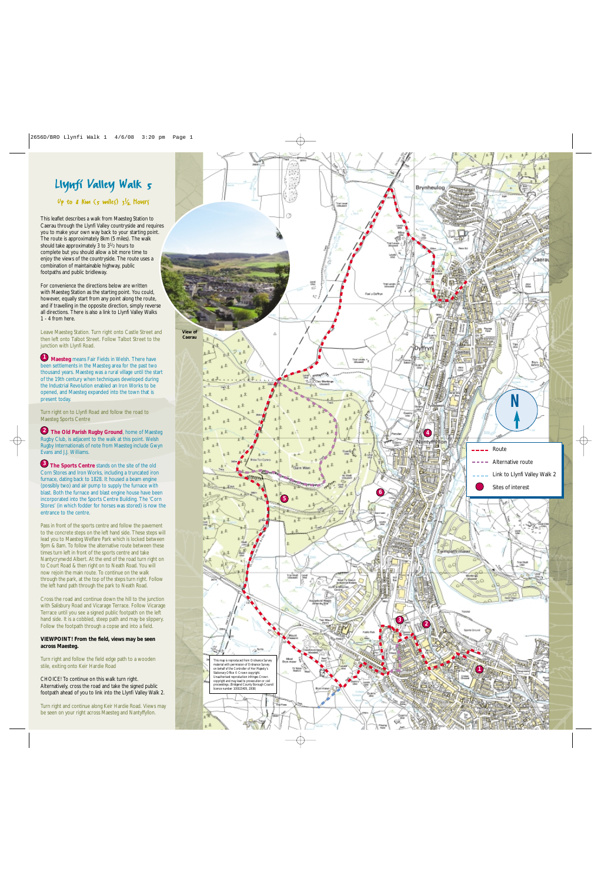

This leaflet describes a walk from Maesteg Station to Caerau through the Llynfi Valley countryside and requires you to make your own way back to your starting point. The route is approximately 8km (5 miles). The walk should take approximately 3 to 3 1 /2 hours to complete but you should allow a bit more time to enjoy the views of the countryside. The route uses a combination of maintainable highway, public footpaths and public bridleway.

For convenience the directions below are written with Maesteg Station as the starting point. You could, however, equally start from any point along the route, and if travelling in the opposite direction, simply reverse all directions. There is also a link to Llynfi Valley Walks 1 - 4 from here.

Leave Maesteg Station. Turn right onto Castle Street and then left onto Talbot Street. Follow Talbot Street to the junction with Llynfi Road.

**Maesteg** means Fair Fields in Welsh. There have been settlements in the Maesteg area for the past two thousand years. Maesteg was a rural village until the start of the 19th century when techniques developed during the Industrial Revolution enabled an Iron Works to be opened, and Maesteg expanded into the town that is present today.

Turn right on to Llynfi Road and follow the road to Maesteg Sports Centre

**2** The Old Parish Rugby Ground, home of Maesteg Rugby Club, is adjacent to the walk at this point. Welsh Rugby Internationals of note from Maesteg include Gwyn Evans and J.J. Williams.

**3** The Sports Centre stands on the site of the old Corn Stores and Iron Works, including a truncated iron furnace, dating back to 1828. It housed a beam engine (possibly two) and air pump to supply the furnace with blast. Both the furnace and blast engine house have been incorporated into the Sports Centre Building. The 'Corn Stores' (in which fodder for horses was stored) is now the entrance to the centre.

Pass in front of the sports centre and follow the pavement to the concrete steps on the left hand side. These steps will lead you to Maesteg Welfare Park which is locked between 9pm & 8am. To follow the alternative route between these times turn left in front of the sports centre and take Nantycrynwdd Albert. At the end of the road turn right on to Court Road & then right on to Neath Road. You will now rejoin the main route. To continue on the walk through the park, at the top of the steps turn right. Follow the left hand path through the park to Neath Road. **Maesteg** means Fair Fields in Welsh. There have<br>benowed thements in the Maesteg area or the past two for the past two forms of the 19th century when techniques developed durin<br>the Holustrial Revolution enabled an Iron Wor

Cross the road and continue down the hill to the junction with Salisbury Road and Vicarage Terrace. Follow Vicarage Terrace until you see a signed public footpath on the left hand side. It is a cobbled, steep path and may be slippery. Follow the footpath through a copse and into a field.

#### **VIEWPOINT! From the field, views may be seen across Maesteg.**

Turn right and follow the field edge path to a wooden stile, exiting onto Keir Hardie Road

CHOICE! To continue on this walk turn right. Alternatively, cross the road and take the signed public footpath ahead of you to link into the Llynfi Valley Walk 2.

Turn right and continue along Keir Hardie Road. Views may be seen on your right across Maesteg and Nantyffyllon.